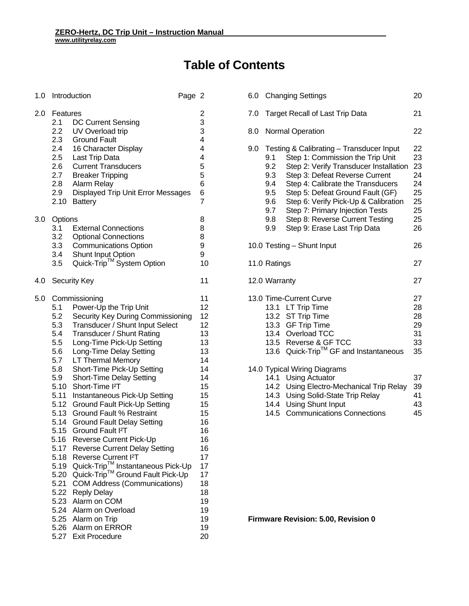# **Table of Contents**

| 1.0 |                                                                                                                                                                             | Introduction                                                                                                                                                                                                                                                                                                                                                                                                                                                                                                                                                                                                                                                                                                                                                                                                                                                       | Page 2 |                                                                                                                                                                      |
|-----|-----------------------------------------------------------------------------------------------------------------------------------------------------------------------------|--------------------------------------------------------------------------------------------------------------------------------------------------------------------------------------------------------------------------------------------------------------------------------------------------------------------------------------------------------------------------------------------------------------------------------------------------------------------------------------------------------------------------------------------------------------------------------------------------------------------------------------------------------------------------------------------------------------------------------------------------------------------------------------------------------------------------------------------------------------------|--------|----------------------------------------------------------------------------------------------------------------------------------------------------------------------|
| 2.0 | Features<br>2.1<br>$2.2\phantom{0}$<br>2.3<br>2.4<br>$2.5\phantom{0}$<br>2.6<br>2.7<br>2.8<br>2.9<br>2.10                                                                   | <b>DC Current Sensing</b><br>UV Overload trip<br><b>Ground Fault</b><br>16 Character Display<br>Last Trip Data<br><b>Current Transducers</b><br><b>Breaker Tripping</b><br>Alarm Relay<br>Displayed Trip Unit Error Messages<br><b>Battery</b>                                                                                                                                                                                                                                                                                                                                                                                                                                                                                                                                                                                                                     |        | $\frac{2}{3}$<br>3<br>4<br>4<br>4<br>5<br>5<br>6<br>6<br>7                                                                                                           |
| 3.0 | Options<br>3.1<br>3.2<br>3.3<br>3.4<br>3.5                                                                                                                                  | <b>External Connections</b><br><b>Optional Connections</b><br><b>Communications Option</b><br>Shunt Input Option<br>Quick-Trip™ System Option                                                                                                                                                                                                                                                                                                                                                                                                                                                                                                                                                                                                                                                                                                                      |        | 8<br>8<br>8<br>9<br>9<br>10                                                                                                                                          |
| 4.0 |                                                                                                                                                                             | <b>Security Key</b>                                                                                                                                                                                                                                                                                                                                                                                                                                                                                                                                                                                                                                                                                                                                                                                                                                                |        | 11                                                                                                                                                                   |
| 5.0 | 5.1<br>5.2<br>5.3<br>5.4<br>5.5<br>5.6<br>5.7<br>5.8<br>5.9<br>5.10<br>5.11<br>5.12<br>5.13<br>5.14<br>5.15<br>5.16<br>5.17<br>5.18<br>5.19<br>5.20<br>5.21<br>5.22<br>5.23 | Commissioning<br>Power-Up the Trip Unit<br>Security Key During Commissioning<br>Transducer / Shunt Input Select<br>Transducer / Shunt Rating<br>Long-Time Pick-Up Setting<br>Long-Time Delay Setting<br>LT Thermal Memory<br>Short-Time Pick-Up Setting<br><b>Short-Time Delay Setting</b><br>Short-Time <sup>12</sup> T<br>Instantaneous Pick-Up Setting<br><b>Ground Fault Pick-Up Setting</b><br><b>Ground Fault % Restraint</b><br><b>Ground Fault Delay Setting</b><br>Ground Fault <sup>2</sup> T<br>Reverse Current Pick-Up<br><b>Reverse Current Delay Setting</b><br>Reverse Current I <sup>2</sup> T<br>Quick-Trip™ Instantaneous Pick-Up<br>Quick-Trip™ Ground Fault Pick-Up<br><b>COM Address (Communications)</b><br><b>Reply Delay</b><br>Alarm on COM<br>5.24 Alarm on Overload<br>5.25 Alarm on Trip<br>5.26 Alarm on ERROR<br>5.27 Exit Procedure |        | 11<br>12<br>12<br>12<br>13<br>13<br>13<br>14<br>14<br>14<br>15<br>15<br>15<br>15<br>16<br>16<br>16<br>16<br>17<br>17<br>17<br>18<br>18<br>19<br>19<br>19<br>19<br>20 |

| 6.0 |                                                             | <b>Changing Settings</b>                                                                                                                                                                                                                                                                                                                                                        | 20                                                       |
|-----|-------------------------------------------------------------|---------------------------------------------------------------------------------------------------------------------------------------------------------------------------------------------------------------------------------------------------------------------------------------------------------------------------------------------------------------------------------|----------------------------------------------------------|
| 7.0 |                                                             | <b>Target Recall of Last Trip Data</b>                                                                                                                                                                                                                                                                                                                                          | 21                                                       |
| 8.0 |                                                             | <b>Normal Operation</b>                                                                                                                                                                                                                                                                                                                                                         | 22                                                       |
| 9.0 | 9.1<br>9.2<br>9.3<br>9.4<br>9.5<br>9.6<br>9.7<br>9.8<br>9.9 | Testing & Calibrating - Transducer Input<br>Step 1: Commission the Trip Unit<br>Step 2: Verify Transducer Installation<br>Step 3: Defeat Reverse Current<br>Step 4: Calibrate the Transducers<br>Step 5: Defeat Ground Fault (GF)<br>Step 6: Verify Pick-Up & Calibration<br>Step 7: Primary Injection Tests<br>Step 8: Reverse Current Testing<br>Step 9: Erase Last Trip Data | 22<br>23<br>23<br>24<br>24<br>25<br>25<br>25<br>25<br>26 |
|     |                                                             | 10.0 Testing - Shunt Input                                                                                                                                                                                                                                                                                                                                                      | 26                                                       |
|     | 11.0 Ratings                                                |                                                                                                                                                                                                                                                                                                                                                                                 | 27                                                       |
|     | 12.0 Warranty                                               |                                                                                                                                                                                                                                                                                                                                                                                 | 27                                                       |
|     | 13.6                                                        | 13.0 Time-Current Curve<br>13.1 LT Trip Time<br>13.2 ST Trip Time<br>13.3 GF Trip Time<br>13.4 Overload TCC<br>13.5 Reverse & GF TCC<br>Quick-Trip™ GF and Instantaneous                                                                                                                                                                                                        | 27<br>28<br>28<br>29<br>31<br>33<br>35                   |
|     | 14.3<br>14.4<br>14.5                                        | 14.0 Typical Wiring Diagrams<br>14.1 Using Actuator<br>14.2 Using Electro-Mechanical Trip Relay<br>Using Solid-State Trip Relay<br><b>Using Shunt Input</b><br><b>Communications Connections</b>                                                                                                                                                                                | 37<br>39<br>41<br>43<br>45                               |

**Firmware Revision: 5.00, Revision 0**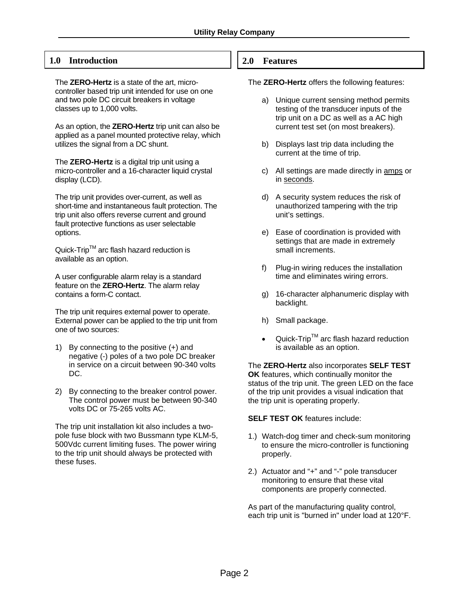### **1.0 Introduction**

The **ZERO-Hertz** is a state of the art, microcontroller based trip unit intended for use on one and two pole DC circuit breakers in voltage classes up to 1,000 volts.

As an option, the **ZERO-Hertz** trip unit can also be applied as a panel mounted protective relay, which utilizes the signal from a DC shunt.

The **ZERO-Hertz** is a digital trip unit using a micro-controller and a 16-character liquid crystal display (LCD).

The trip unit provides over-current, as well as short-time and instantaneous fault protection. The trip unit also offers reverse current and ground fault protective functions as user selectable options.

Quick-Trip<sup>™</sup> arc flash hazard reduction is available as an option.

A user configurable alarm relay is a standard feature on the **ZERO-Hertz**. The alarm relay contains a form-C contact.

The trip unit requires external power to operate. External power can be applied to the trip unit from one of two sources:

- 1) By connecting to the positive (+) and negative (-) poles of a two pole DC breaker in service on a circuit between 90-340 volts DC.
- 2) By connecting to the breaker control power. The control power must be between 90-340 volts DC or 75-265 volts AC.

The trip unit installation kit also includes a twopole fuse block with two Bussmann type KLM-5, 500Vdc current limiting fuses. The power wiring to the trip unit should always be protected with these fuses.

#### **2.0 Features**

The **ZERO-Hertz** offers the following features:

- a) Unique current sensing method permits testing of the transducer inputs of the trip unit on a DC as well as a AC high current test set (on most breakers).
- b) Displays last trip data including the current at the time of trip.
- c) All settings are made directly in amps or in seconds.
- d) A security system reduces the risk of unauthorized tampering with the trip unit's settings.
- e) Ease of coordination is provided with settings that are made in extremely small increments.
- f) Plug-in wiring reduces the installation time and eliminates wiring errors.
- g) 16-character alphanumeric display with backlight.
- h) Small package.
- $Quick-Trip^{TM}$  arc flash hazard reduction is available as an option.

The **ZERO-Hertz** also incorporates **SELF TEST OK** features, which continually monitor the status of the trip unit. The green LED on the face of the trip unit provides a visual indication that the trip unit is operating properly.

**SELF TEST OK** features include:

- 1.) Watch-dog timer and check-sum monitoring to ensure the micro-controller is functioning properly.
- 2.) Actuator and "+" and "-" pole transducer monitoring to ensure that these vital components are properly connected.

As part of the manufacturing quality control. each trip unit is "burned in" under load at 120°F.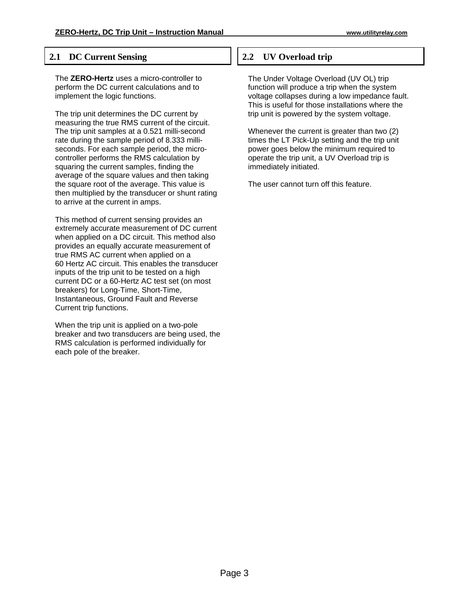#### **2.1 DC Current Sensing**

The **ZERO-Hertz** uses a micro-controller to perform the DC current calculations and to implement the logic functions.

The trip unit determines the DC current by measuring the true RMS current of the circuit. The trip unit samples at a 0.521 milli-second rate during the sample period of 8.333 milliseconds. For each sample period, the microcontroller performs the RMS calculation by squaring the current samples, finding the average of the square values and then taking the square root of the average. This value is then multiplied by the transducer or shunt rating to arrive at the current in amps.

This method of current sensing provides an extremely accurate measurement of DC current when applied on a DC circuit. This method also provides an equally accurate measurement of true RMS AC current when applied on a 60 Hertz AC circuit. This enables the transducer inputs of the trip unit to be tested on a high current DC or a 60-Hertz AC test set (on most breakers) for Long-Time, Short-Time, Instantaneous, Ground Fault and Reverse Current trip functions.

When the trip unit is applied on a two-pole breaker and two transducers are being used, the RMS calculation is performed individually for each pole of the breaker.

## **2.2 UV Overload trip**

The Under Voltage Overload (UV OL) trip function will produce a trip when the system voltage collapses during a low impedance fault. This is useful for those installations where the trip unit is powered by the system voltage.

Whenever the current is greater than two (2) times the LT Pick-Up setting and the trip unit power goes below the minimum required to operate the trip unit, a UV Overload trip is immediately initiated.

The user cannot turn off this feature.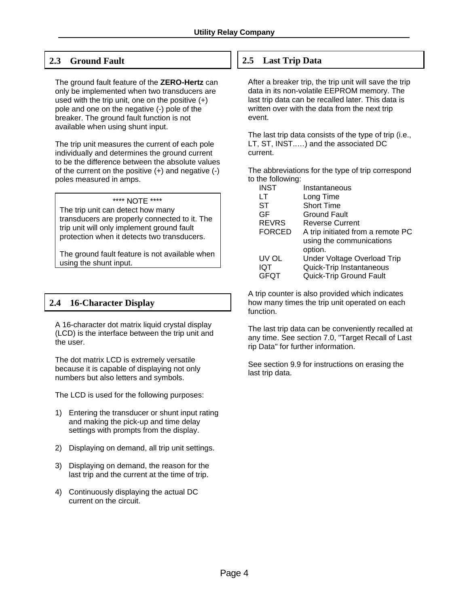### **2.3 Ground Fault**

The ground fault feature of the **ZERO-Hertz** can only be implemented when two transducers are used with the trip unit, one on the positive (+) pole and one on the negative (-) pole of the breaker. The ground fault function is not available when using shunt input.

The trip unit measures the current of each pole individually and determines the ground current to be the difference between the absolute values of the current on the positive (+) and negative (-) poles measured in amps.

#### \*\*\*\* NOTE \*\*\*\*

The trip unit can detect how many transducers are properly connected to it. The trip unit will only implement ground fault protection when it detects two transducers.

The ground fault feature is not available when using the shunt input.

## **2.4 16-Character Display**

A 16-character dot matrix liquid crystal display (LCD) is the interface between the trip unit and the user.

The dot matrix LCD is extremely versatile because it is capable of displaying not only numbers but also letters and symbols.

The LCD is used for the following purposes:

- 1) Entering the transducer or shunt input rating and making the pick-up and time delay settings with prompts from the display.
- 2) Displaying on demand, all trip unit settings.
- 3) Displaying on demand, the reason for the last trip and the current at the time of trip.
- 4) Continuously displaying the actual DC current on the circuit.

### **2.5 Last Trip Data**

After a breaker trip, the trip unit will save the trip data in its non-volatile EEPROM memory. The last trip data can be recalled later. This data is written over with the data from the next trip event.

The last trip data consists of the type of trip (i.e., LT, ST, INST..…) and the associated DC current.

The abbreviations for the type of trip correspond to the following:

| <b>INST</b>   | Instantaneous                     |
|---------------|-----------------------------------|
| LT            | Long Time                         |
| ST            | <b>Short Time</b>                 |
| GF            | Ground Fault                      |
| <b>REVRS</b>  | <b>Reverse Current</b>            |
| <b>FORCED</b> | A trip initiated from a remote PC |
|               | using the communications          |
|               | option.                           |
| UV OL         | Under Voltage Overload Trip       |
| IQT           | Quick-Trip Instantaneous          |
| GFOT          | Quick-Trip Ground Fault           |
|               |                                   |

A trip counter is also provided which indicates how many times the trip unit operated on each function.

The last trip data can be conveniently recalled at any time. See section 7.0, "Target Recall of Last rip Data" for further information.

See section 9.9 for instructions on erasing the last trip data.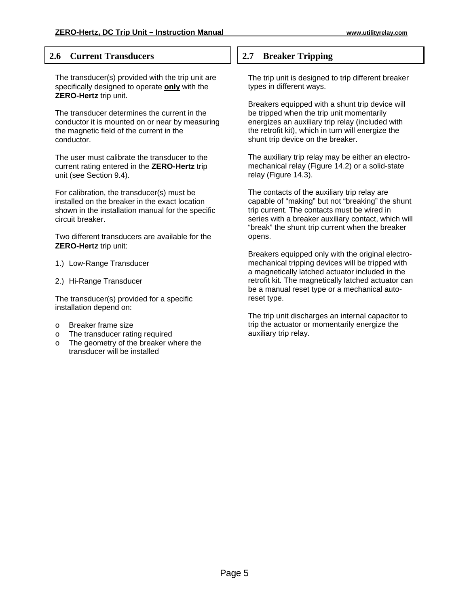#### **2.6 Current Transducers**

The transducer(s) provided with the trip unit are specifically designed to operate **only** with the **ZERO-Hertz** trip unit.

The transducer determines the current in the conductor it is mounted on or near by measuring the magnetic field of the current in the conductor.

The user must calibrate the transducer to the current rating entered in the **ZERO-Hertz** trip unit (see Section 9.4).

For calibration, the transducer(s) must be installed on the breaker in the exact location shown in the installation manual for the specific circuit breaker.

Two different transducers are available for the **ZERO-Hertz** trip unit:

- 1.) Low-Range Transducer
- 2.) Hi-Range Transducer

The transducer(s) provided for a specific installation depend on:

- o Breaker frame size
- o The transducer rating required
- o The geometry of the breaker where the transducer will be installed

### **2.7 Breaker Tripping**

The trip unit is designed to trip different breaker types in different ways.

Breakers equipped with a shunt trip device will be tripped when the trip unit momentarily energizes an auxiliary trip relay (included with the retrofit kit), which in turn will energize the shunt trip device on the breaker.

The auxiliary trip relay may be either an electromechanical relay (Figure 14.2) or a solid-state relay (Figure 14.3).

The contacts of the auxiliary trip relay are capable of "making" but not "breaking" the shunt trip current. The contacts must be wired in series with a breaker auxiliary contact, which will "break" the shunt trip current when the breaker opens.

Breakers equipped only with the original electromechanical tripping devices will be tripped with a magnetically latched actuator included in the retrofit kit. The magnetically latched actuator can be a manual reset type or a mechanical autoreset type.

The trip unit discharges an internal capacitor to trip the actuator or momentarily energize the auxiliary trip relay.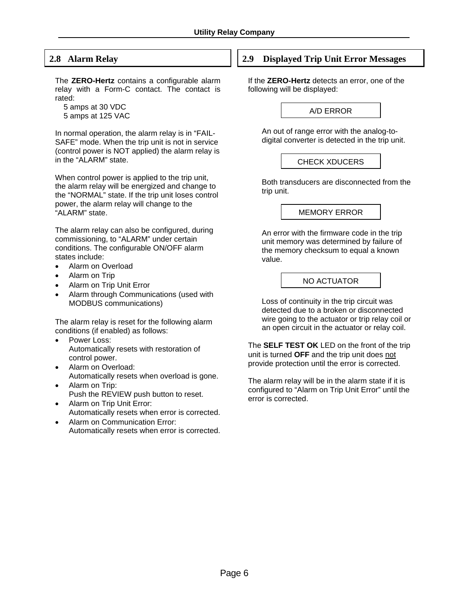## **2.8 Alarm Relay**

The **ZERO-Hertz** contains a configurable alarm relay with a Form-C contact. The contact is rated:

 5 amps at 30 VDC 5 amps at 125 VAC

In normal operation, the alarm relay is in "FAIL-SAFE" mode. When the trip unit is not in service (control power is NOT applied) the alarm relay is in the "ALARM" state.

When control power is applied to the trip unit, the alarm relay will be energized and change to the "NORMAL" state. If the trip unit loses control power, the alarm relay will change to the "ALARM" state.

The alarm relay can also be configured, during commissioning, to "ALARM" under certain conditions. The configurable ON/OFF alarm states include:

- Alarm on Overload
- Alarm on Trip
- Alarm on Trip Unit Error
- Alarm through Communications (used with MODBUS communications)

The alarm relay is reset for the following alarm conditions (if enabled) as follows:

- Power Loss: Automatically resets with restoration of control power.
- Alarm on Overload: Automatically resets when overload is gone.
- Alarm on Trip: Push the REVIEW push button to reset.
- Alarm on Trip Unit Error: Automatically resets when error is corrected.
- Alarm on Communication Error: Automatically resets when error is corrected.

#### **2.9 Displayed Trip Unit Error Messages**

If the **ZERO-Hertz** detects an error, one of the following will be displayed:

A/D ERROR

 An out of range error with the analog-todigital converter is detected in the trip unit.

CHECK XDUCERS

 Both transducers are disconnected from the trip unit.

MEMORY ERROR

 An error with the firmware code in the trip unit memory was determined by failure of the memory checksum to equal a known value.

#### NO ACTUATOR

 Loss of continuity in the trip circuit was detected due to a broken or disconnected wire going to the actuator or trip relay coil or an open circuit in the actuator or relay coil.

The **SELF TEST OK** LED on the front of the trip unit is turned **OFF** and the trip unit does not provide protection until the error is corrected.

The alarm relay will be in the alarm state if it is configured to "Alarm on Trip Unit Error" until the error is corrected.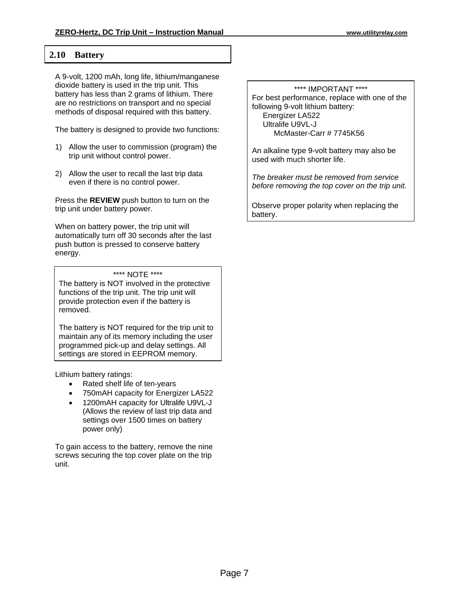#### **2.10 Battery**

A 9-volt, 1200 mAh, long life, lithium/manganese dioxide battery is used in the trip unit. This battery has less than 2 grams of lithium. There are no restrictions on transport and no special methods of disposal required with this battery.

The battery is designed to provide two functions:

- 1) Allow the user to commission (program) the trip unit without control power.
- 2) Allow the user to recall the last trip data even if there is no control power.

Press the **REVIEW** push button to turn on the trip unit under battery power.

When on battery power, the trip unit will automatically turn off 30 seconds after the last push button is pressed to conserve battery energy.

#### \*\*\*\* NOTE \*\*\*\*

The battery is NOT involved in the protective functions of the trip unit. The trip unit will provide protection even if the battery is removed.

The battery is NOT required for the trip unit to maintain any of its memory including the user programmed pick-up and delay settings. All settings are stored in EEPROM memory.

Lithium battery ratings:

- Rated shelf life of ten-years
- 750mAH capacity for Energizer LA522
- 1200mAH capacity for Ultralife U9VL-J (Allows the review of last trip data and settings over 1500 times on battery power only)

To gain access to the battery, remove the nine screws securing the top cover plate on the trip unit.

#### \*\*\*\* IMPORTANT \*\*\*\*

For best performance, replace with one of the following 9-volt lithium battery: Energizer LA522 Ultralife U9VL-J McMaster-Carr # 7745K56

An alkaline type 9-volt battery may also be used with much shorter life.

*The breaker must be removed from service before removing the top cover on the trip unit.* 

Observe proper polarity when replacing the battery.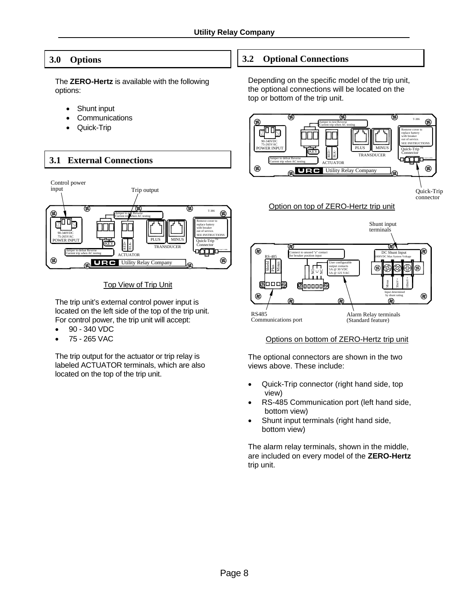## **3.0 Options**

The **ZERO-Hertz** is available with the following options:

- Shunt input
- **Communications**
- Quick-Trip



**Top View of Trip Unit** 

The trip unit's external control power input is located on the left side of the top of the trip unit. For control power, the trip unit will accept:

- 90 340 VDC
- 75 265 VAC

The trip output for the actuator or trip relay is labeled ACTUATOR terminals, which are also located on the top of the trip unit.

## **3.2 Optional Connections**

Depending on the specific model of the trip unit, the optional connections will be located on the top or bottom of the trip unit.



#### Options on bottom of ZERO-Hertz trip unit

The optional connectors are shown in the two views above. These include:

- Quick-Trip connector (right hand side, top view)
- RS-485 Communication port (left hand side, bottom view)
- Shunt input terminals (right hand side, bottom view)

The alarm relay terminals, shown in the middle, are included on every model of the **ZERO-Hertz** trip unit.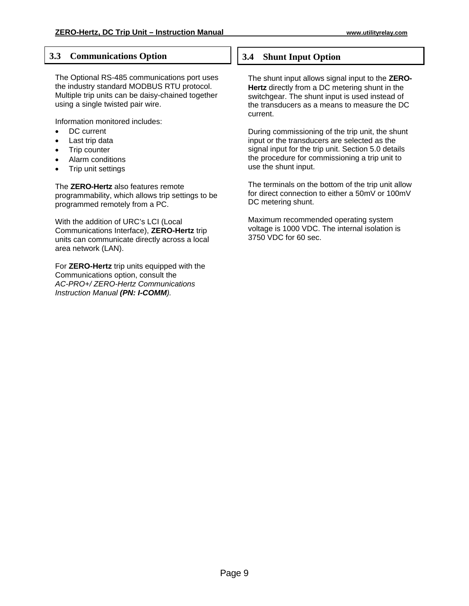### **3.3 Communications Option**

The Optional RS-485 communications port uses the industry standard MODBUS RTU protocol. Multiple trip units can be daisy-chained together using a single twisted pair wire.

Information monitored includes:

- DC current
- Last trip data
- **Trip counter**
- Alarm conditions
- Trip unit settings

The **ZERO-Hertz** also features remote programmability, which allows trip settings to be programmed remotely from a PC.

With the addition of URC's LCI (Local Communications Interface), **ZERO-Hertz** trip units can communicate directly across a local area network (LAN).

For **ZERO-Hertz** trip units equipped with the Communications option, consult the *AC-PRO+/ ZERO-Hertz Communications Instruction Manual (PN: I-COMM).* 

## **3.4 Shunt Input Option**

The shunt input allows signal input to the **ZERO-Hertz** directly from a DC metering shunt in the switchgear. The shunt input is used instead of the transducers as a means to measure the DC current.

During commissioning of the trip unit, the shunt input or the transducers are selected as the signal input for the trip unit. Section 5.0 details the procedure for commissioning a trip unit to use the shunt input.

The terminals on the bottom of the trip unit allow for direct connection to either a 50mV or 100mV DC metering shunt.

Maximum recommended operating system voltage is 1000 VDC. The internal isolation is 3750 VDC for 60 sec.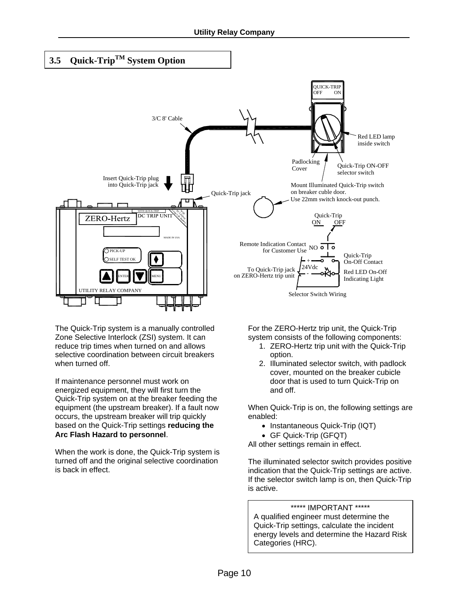

The Quick-Trip system is a manually controlled Zone Selective Interlock (ZSI) system. It can reduce trip times when turned on and allows selective coordination between circuit breakers when turned off.

If maintenance personnel must work on energized equipment, they will first turn the Quick-Trip system on at the breaker feeding the equipment (the upstream breaker). If a fault now occurs, the upstream breaker will trip quickly based on the Quick-Trip settings **reducing the Arc Flash Hazard to personnel**.

When the work is done, the Quick-Trip system is turned off and the original selective coordination is back in effect.

For the ZERO-Hertz trip unit, the Quick-Trip system consists of the following components:

- 1. ZERO-Hertz trip unit with the Quick-Trip option.
- 2. Illuminated selector switch, with padlock cover, mounted on the breaker cubicle door that is used to turn Quick-Trip on and off.

When Quick-Trip is on, the following settings are enabled:

- Instantaneous Quick-Trip (IQT)
- GF Quick-Trip (GFQT)

All other settings remain in effect.

The illuminated selector switch provides positive indication that the Quick-Trip settings are active. If the selector switch lamp is on, then Quick-Trip is active.

#### \*\*\*\*\* IMPORTANT \*\*\*\*\*

A qualified engineer must determine the Quick-Trip settings, calculate the incident energy levels and determine the Hazard Risk Categories (HRC).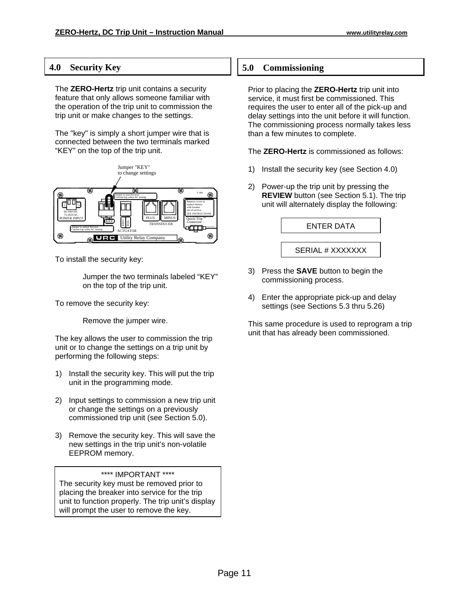### **4.0 Security Key**

The **ZERO-Hertz** trip unit contains a security feature that only allows someone familiar with the operation of the trip unit to commission the trip unit or make changes to the settings.

The "key" is simply a short jumper wire that is connected between the two terminals marked "KEY" on the top of the trip unit.



To install the security key:

 Jumper the two terminals labeled "KEY" on the top of the trip unit.

To remove the security key:

Remove the jumper wire.

The key allows the user to commission the trip unit or to change the settings on a trip unit by performing the following steps:

- 1) Install the security key. This will put the trip unit in the programming mode.
- 2) Input settings to commission a new trip unit or change the settings on a previously commissioned trip unit (see Section 5.0).
- 3) Remove the security key. This will save the new settings in the trip unit's non-volatile EEPROM memory.

#### \*\*\*\* IMPORTANT \*\*\*\*

The security key must be removed prior to placing the breaker into service for the trip unit to function properly. The trip unit's display will prompt the user to remove the key.

### **5.0 Commissioning**

Prior to placing the **ZERO-Hertz** trip unit into service, it must first be commissioned. This requires the user to enter all of the pick-up and delay settings into the unit before it will function. The commissioning process normally takes less than a few minutes to complete.

The **ZERO-Hertz** is commissioned as follows:

- 1) Install the security key (see Section 4.0)
- 2) Power-up the trip unit by pressing the **REVIEW** button (see Section 5.1). The trip unit will alternately display the following:

ENTER DATA

SERIAL # XXXXXXX

- 3) Press the **SAVE** button to begin the commissioning process.
- 4) Enter the appropriate pick-up and delay settings (see Sections 5.3 thru 5.26)

This same procedure is used to reprogram a trip unit that has already been commissioned.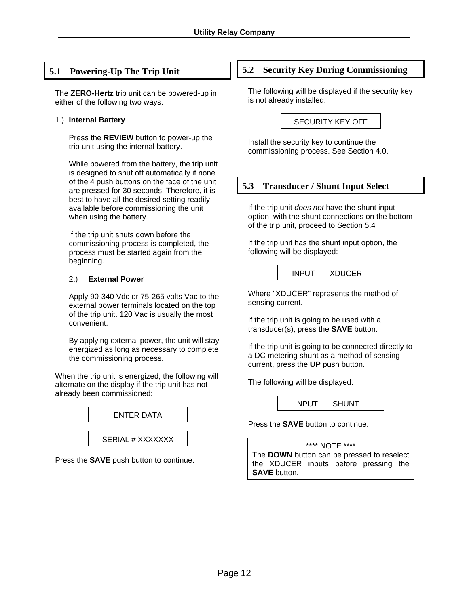### **5.1 Powering-Up The Trip Unit**

The **ZERO-Hertz** trip unit can be powered-up in either of the following two ways.

#### 1.) **Internal Battery**

 Press the **REVIEW** button to power-up the trip unit using the internal battery.

 While powered from the battery, the trip unit is designed to shut off automatically if none of the 4 push buttons on the face of the unit are pressed for 30 seconds. Therefore, it is best to have all the desired setting readily available before commissioning the unit when using the battery.

 If the trip unit shuts down before the commissioning process is completed, the process must be started again from the beginning.

#### 2.) **External Power**

 Apply 90-340 Vdc or 75-265 volts Vac to the external power terminals located on the top of the trip unit. 120 Vac is usually the most convenient.

 By applying external power, the unit will stay energized as long as necessary to complete the commissioning process.

When the trip unit is energized, the following will alternate on the display if the trip unit has not already been commissioned:



Press the **SAVE** push button to continue.

#### **5.2 Security Key During Commissioning**

The following will be displayed if the security key is not already installed:

SECURITY KEY OFF

Install the security key to continue the commissioning process. See Section 4.0.

#### **5.3 Transducer / Shunt Input Select**

If the trip unit *does not* have the shunt input option, with the shunt connections on the bottom of the trip unit, proceed to Section 5.4

If the trip unit has the shunt input option, the following will be displayed:

INPUT XDUCER

Where "XDUCER" represents the method of sensing current.

If the trip unit is going to be used with a transducer(s), press the **SAVE** button.

If the trip unit is going to be connected directly to a DC metering shunt as a method of sensing current, press the **UP** push button.

The following will be displayed:

INPUT SHUNT

Press the **SAVE** button to continue.

\*\*\*\* NOTE \*\*\*\*

The **DOWN** button can be pressed to reselect the XDUCER inputs before pressing the **SAVE** button.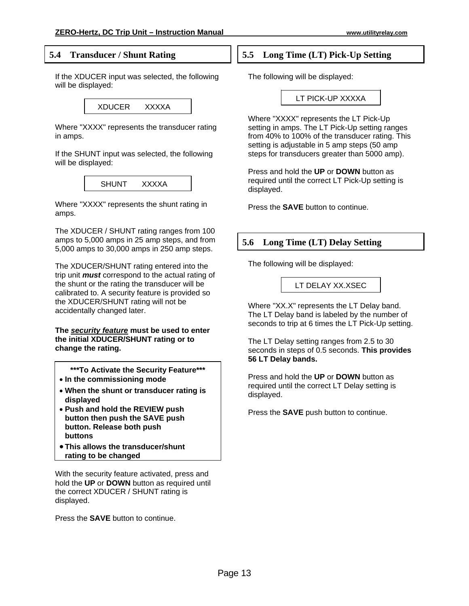### **5.4 Transducer / Shunt Rating**

If the XDUCER input was selected, the following will be displayed:

XDUCER XXXXA

Where "XXXX" represents the transducer rating in amps.

If the SHUNT input was selected, the following will be displayed:

SHUNT XXXXA

Where "XXXX" represents the shunt rating in amps.

The XDUCER / SHUNT rating ranges from 100 amps to 5,000 amps in 25 amp steps, and from 5,000 amps to 30,000 amps in 250 amp steps.

The XDUCER/SHUNT rating entered into the trip unit *must* correspond to the actual rating of the shunt or the rating the transducer will be calibrated to. A security feature is provided so the XDUCER/SHUNT rating will not be accidentally changed later.

**The** *security feature* **must be used to enter the initial XDUCER/SHUNT rating or to change the rating.** 

**\*\*\*To Activate the Security Feature\*\*\***

- **In the commissioning mode**
- **When the shunt or transducer rating is displayed**
- **Push and hold the REVIEW push button then push the SAVE push button. Release both push buttons**
- **This allows the transducer/shunt rating to be changed**

With the security feature activated, press and hold the **UP** or **DOWN** button as required until the correct XDUCER / SHUNT rating is displayed.

Press the **SAVE** button to continue.

### **5.5 Long Time (LT) Pick-Up Setting**

The following will be displayed:

#### LT PICK-UP XXXXA

Where "XXXX" represents the LT Pick-Up setting in amps. The LT Pick-Up setting ranges from 40% to 100% of the transducer rating. This setting is adjustable in 5 amp steps (50 amp steps for transducers greater than 5000 amp).

Press and hold the **UP** or **DOWN** button as required until the correct LT Pick-Up setting is displayed.

Press the **SAVE** button to continue.

## **5.6 Long Time (LT) Delay Setting**

The following will be displayed:

LT DELAY XX.XSEC

Where "XX.X" represents the LT Delay band. The LT Delay band is labeled by the number of seconds to trip at 6 times the LT Pick-Up setting.

The LT Delay setting ranges from 2.5 to 30 seconds in steps of 0.5 seconds. **This provides 56 LT Delay bands.**

Press and hold the **UP** or **DOWN** button as required until the correct LT Delay setting is displayed.

Press the **SAVE** push button to continue.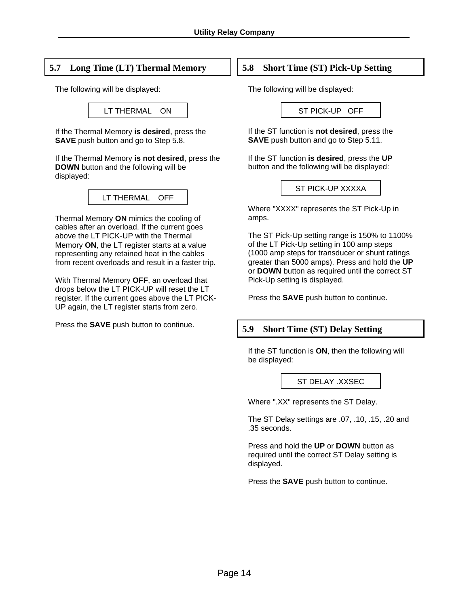## **5.7 Long Time (LT) Thermal Memory**

The following will be displayed:

LT THERMAL ON

If the Thermal Memory **is desired**, press the **SAVE** push button and go to Step 5.8.

If the Thermal Memory **is not desired**, press the **DOWN** button and the following will be displayed:

LT THERMAL OFF

Thermal Memory **ON** mimics the cooling of cables after an overload. If the current goes above the LT PICK-UP with the Thermal Memory **ON**, the LT register starts at a value representing any retained heat in the cables from recent overloads and result in a faster trip.

With Thermal Memory **OFF**, an overload that drops below the LT PICK-UP will reset the LT register. If the current goes above the LT PICK-UP again, the LT register starts from zero.

Press the **SAVE** push button to continue.

## **5.8 Short Time (ST) Pick-Up Setting**

The following will be displayed:

ST PICK-UP OFF

If the ST function is **not desired**, press the **SAVE** push button and go to Step 5.11.

If the ST function **is desired**, press the **UP** button and the following will be displayed:

ST PICK-UP XXXXA

Where "XXXX" represents the ST Pick-Up in amps.

The ST Pick-Up setting range is 150% to 1100% of the LT Pick-Up setting in 100 amp steps (1000 amp steps for transducer or shunt ratings greater than 5000 amps). Press and hold the **UP** or **DOWN** button as required until the correct ST Pick-Up setting is displayed.

Press the **SAVE** push button to continue.

## **5.9 Short Time (ST) Delay Setting**

If the ST function is **ON**, then the following will be displayed:

#### ST DELAY .XXSEC

Where ".XX" represents the ST Delay.

The ST Delay settings are .07, .10, .15, .20 and .35 seconds.

Press and hold the **UP** or **DOWN** button as required until the correct ST Delay setting is displayed.

Press the **SAVE** push button to continue.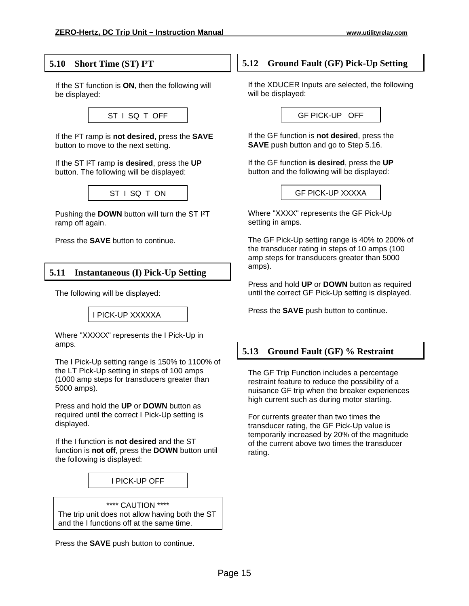#### **5.10 Short Time (ST) I²T**

If the ST function is **ON**, then the following will be displayed:



If the I²T ramp is **not desired**, press the **SAVE** button to move to the next setting.

If the ST I²T ramp **is desired**, press the **UP** button. The following will be displayed:



Pushing the **DOWN** button will turn the ST I²T ramp off again.

Press the **SAVE** button to continue.

#### **5.11 Instantaneous (I) Pick-Up Setting**

The following will be displayed:

I PICK-UP XXXXXA

Where "XXXXX" represents the I Pick-Up in amps.

The I Pick-Up setting range is 150% to 1100% of the LT Pick-Up setting in steps of 100 amps (1000 amp steps for transducers greater than 5000 amps).

Press and hold the **UP** or **DOWN** button as required until the correct I Pick-Up setting is displayed.

If the I function is **not desired** and the ST function is **not off**, press the **DOWN** button until the following is displayed:

#### I PICK-UP OFF

\*\*\*\* CAUTION \*\*\*\* The trip unit does not allow having both the ST and the I functions off at the same time.

Press the **SAVE** push button to continue.

### **5.12 Ground Fault (GF) Pick-Up Setting**

If the XDUCER Inputs are selected, the following will be displayed:

GF PICK-UP OFF

If the GF function is **not desired**, press the **SAVE** push button and go to Step 5.16.

If the GF function **is desired**, press the **UP** button and the following will be displayed:

GF PICK-UP XXXXA

Where "XXXX" represents the GF Pick-Up setting in amps.

The GF Pick-Up setting range is 40% to 200% of the transducer rating in steps of 10 amps (100 amp steps for transducers greater than 5000 amps).

Press and hold **UP** or **DOWN** button as required until the correct GF Pick-Up setting is displayed.

Press the **SAVE** push button to continue.

#### **5.13 Ground Fault (GF) % Restraint**

The GF Trip Function includes a percentage restraint feature to reduce the possibility of a nuisance GF trip when the breaker experiences high current such as during motor starting.

For currents greater than two times the transducer rating, the GF Pick-Up value is temporarily increased by 20% of the magnitude of the current above two times the transducer rating.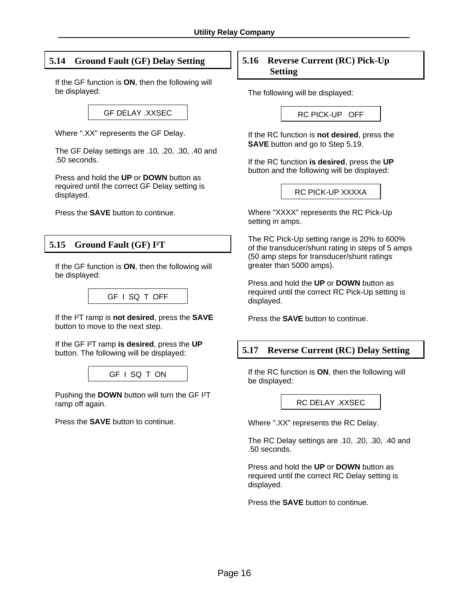## **5.14 Ground Fault (GF) Delay Setting**

If the GF function is **ON**, then the following will be displayed:

GF DELAY .XXSEC

Where ".XX" represents the GF Delay.

The GF Delay settings are .10, .20, .30, .40 and .50 seconds.

Press and hold the **UP** or **DOWN** button as required until the correct GF Delay setting is displayed.

Press the **SAVE** button to continue.

## **5.15 Ground Fault (GF) I²T**

If the GF function is **ON**, then the following will be displayed:



If the I²T ramp is **not desired**, press the **SAVE** button to move to the next step.

If the GF I²T ramp **is desired**, press the **UP**  button. The following will be displayed:



Pushing the **DOWN** button will turn the GF I²T ramp off again.

Press the **SAVE** button to continue.

### **5.16 Reverse Current (RC) Pick-Up Setting**

The following will be displayed:

RC PICK-UP OFF

If the RC function is **not desired**, press the **SAVE** button and go to Step 5.19.

If the RC function **is desired**, press the **UP** button and the following will be displayed:

RC PICK-UP XXXXA

Where "XXXX" represents the RC Pick-Up setting in amps.

The RC Pick-Up setting range is 20% to 600% of the transducer/shunt rating in steps of 5 amps (50 amp steps for transducer/shunt ratings greater than 5000 amps).

Press and hold the **UP** or **DOWN** button as required until the correct RC Pick-Up setting is displayed.

Press the **SAVE** button to continue.

#### **5.17 Reverse Current (RC) Delay Setting**

If the RC function is **ON**, then the following will be displayed:

#### RC DELAY .XXSEC

Where ".XX" represents the RC Delay.

The RC Delay settings are .10, .20, .30, .40 and .50 seconds.

Press and hold the **UP** or **DOWN** button as required until the correct RC Delay setting is displayed.

Press the **SAVE** button to continue.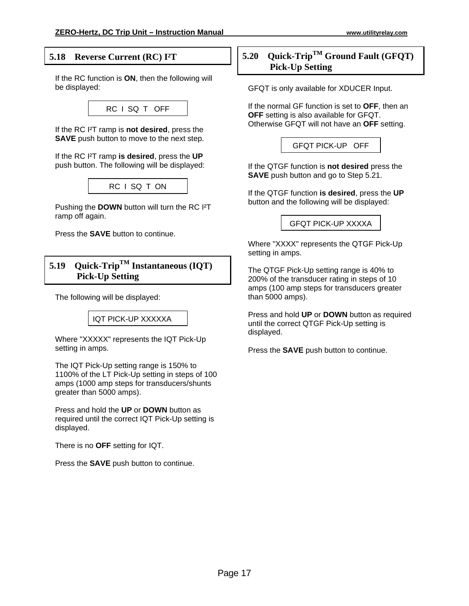### **5.18 Reverse Current (RC) I²T**

If the RC function is **ON**, then the following will be displayed:



If the RC I²T ramp is **not desired**, press the **SAVE** push button to move to the next step.

If the RC I²T ramp **is desired**, press the **UP** push button. The following will be displayed:



Pushing the **DOWN** button will turn the RC I²T ramp off again.

Press the **SAVE** button to continue.

## **5.19 Quick-TripTM Instantaneous (IQT) Pick-Up Setting**

The following will be displayed:

IQT PICK-UP XXXXXA

Where "XXXXX" represents the IQT Pick-Up setting in amps.

The IQT Pick-Up setting range is 150% to 1100% of the LT Pick-Up setting in steps of 100 amps (1000 amp steps for transducers/shunts greater than 5000 amps).

Press and hold the **UP** or **DOWN** button as required until the correct IQT Pick-Up setting is displayed.

There is no **OFF** setting for IQT.

Press the **SAVE** push button to continue.

## **5.20 Quick-TripTM Ground Fault (GFQT) Pick-Up Setting**

GFQT is only available for XDUCER Input.

If the normal GF function is set to **OFF**, then an **OFF** setting is also available for GFQT. Otherwise GFQT will not have an **OFF** setting.

GFQT PICK-UP OFF

If the QTGF function is **not desired** press the **SAVE** push button and go to Step 5.21.

If the QTGF function **is desired**, press the **UP** button and the following will be displayed:

GFQT PICK-UP XXXXA

Where "XXXX" represents the QTGF Pick-Up setting in amps.

The QTGF Pick-Up setting range is 40% to 200% of the transducer rating in steps of 10 amps (100 amp steps for transducers greater than 5000 amps).

Press and hold **UP** or **DOWN** button as required until the correct QTGF Pick-Up setting is displayed.

Press the **SAVE** push button to continue.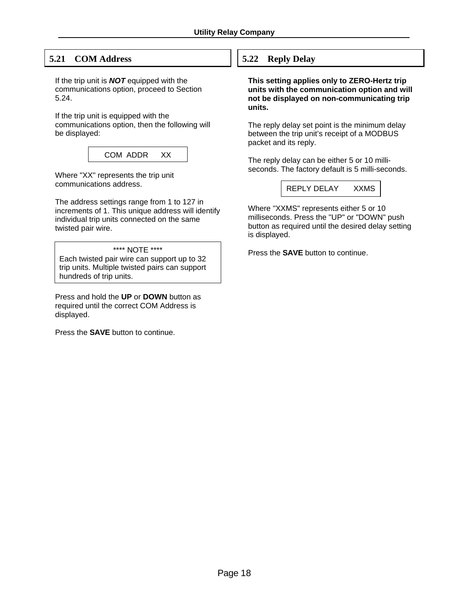## **5.21 COM Address**

If the trip unit is *NOT* equipped with the communications option, proceed to Section 5.24.

If the trip unit is equipped with the communications option, then the following will be displayed:

| COM ADDR | xх |
|----------|----|
|          |    |

Where "XX" represents the trip unit communications address.

The address settings range from 1 to 127 in increments of 1. This unique address will identify individual trip units connected on the same twisted pair wire.

#### \*\*\*\* NOTE \*\*\*\*

Each twisted pair wire can support up to 32 trip units. Multiple twisted pairs can support hundreds of trip units.

Press and hold the **UP** or **DOWN** button as required until the correct COM Address is displayed.

Press the **SAVE** button to continue.

## **5.22 Reply Delay**

**This setting applies only to ZERO-Hertz trip units with the communication option and will not be displayed on non-communicating trip units.** 

The reply delay set point is the minimum delay between the trip unit's receipt of a MODBUS packet and its reply.

The reply delay can be either 5 or 10 milliseconds. The factory default is 5 milli-seconds.

REPLY DELAY XXMS

Where "XXMS" represents either 5 or 10 milliseconds. Press the "UP" or "DOWN" push button as required until the desired delay setting is displayed.

Press the **SAVE** button to continue.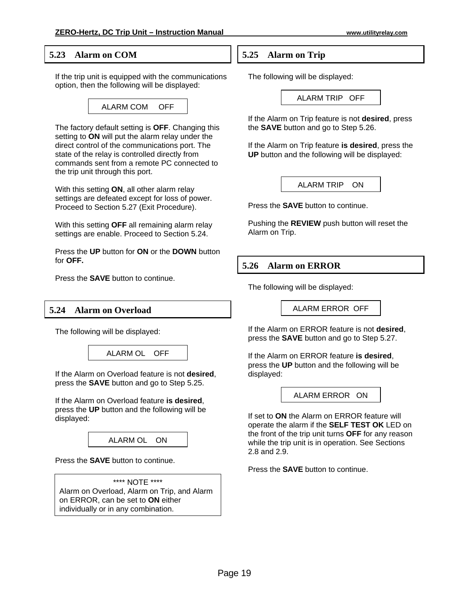#### **5.23 Alarm on COM**

If the trip unit is equipped with the communications option, then the following will be displayed:

## ALARM COM OFF

The factory default setting is **OFF**. Changing this setting to **ON** will put the alarm relay under the direct control of the communications port. The state of the relay is controlled directly from commands sent from a remote PC connected to the trip unit through this port.

With this setting **ON**, all other alarm relay settings are defeated except for loss of power. Proceed to Section 5.27 (Exit Procedure).

With this setting **OFF** all remaining alarm relay settings are enable. Proceed to Section 5.24.

Press the **UP** button for **ON** or the **DOWN** button for **OFF.**

Press the **SAVE** button to continue.

#### **5.24 Alarm on Overload**

The following will be displayed:



If the Alarm on Overload feature is not **desired**, press the **SAVE** button and go to Step 5.25.

If the Alarm on Overload feature **is desired**, press the **UP** button and the following will be displayed:

ALARM OL ON

Press the **SAVE** button to continue.

\*\*\*\* NOTE \*\*\*\* Alarm on Overload, Alarm on Trip, and Alarm on ERROR, can be set to **ON** either individually or in any combination.

**5.25 Alarm on Trip**

The following will be displayed:

ALARM TRIP OFF

If the Alarm on Trip feature is not **desired**, press the **SAVE** button and go to Step 5.26.

If the Alarm on Trip feature **is desired**, press the **UP** button and the following will be displayed:

ALARM TRIP ON

Press the **SAVE** button to continue.

Pushing the **REVIEW** push button will reset the Alarm on Trip.

### **5.26 Alarm on ERROR**

The following will be displayed:

ALARM ERROR OFF

If the Alarm on ERROR feature is not **desired**, press the **SAVE** button and go to Step 5.27.

If the Alarm on ERROR feature **is desired**, press the **UP** button and the following will be displayed:

ALARM ERROR ON

If set to **ON** the Alarm on ERROR feature will operate the alarm if the **SELF TEST OK** LED on the front of the trip unit turns **OFF** for any reason while the trip unit is in operation. See Sections 2.8 and 2.9.

Press the **SAVE** button to continue.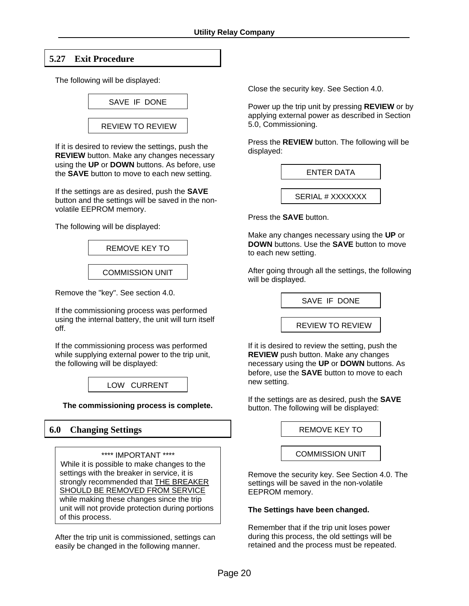## **5.27 Exit Procedure**

The following will be displayed:



If it is desired to review the settings, push the **REVIEW** button. Make any changes necessary using the **UP** or **DOWN** buttons. As before, use the **SAVE** button to move to each new setting.

If the settings are as desired, push the **SAVE** button and the settings will be saved in the nonvolatile EEPROM memory.

The following will be displayed:



Remove the "key". See section 4.0.

If the commissioning process was performed using the internal battery, the unit will turn itself off.

If the commissioning process was performed while supplying external power to the trip unit, the following will be displayed:



**The commissioning process is complete.**

#### **6.0 Changing Settings**

\*\*\*\* IMPORTANT \*\*\*\* While it is possible to make changes to the settings with the breaker in service, it is strongly recommended that THE BREAKER SHOULD BE REMOVED FROM SERVICE while making these changes since the trip unit will not provide protection during portions of this process.

After the trip unit is commissioned, settings can easily be changed in the following manner.

Close the security key. See Section 4.0.

Power up the trip unit by pressing **REVIEW** or by applying external power as described in Section 5.0, Commissioning.

Press the **REVIEW** button. The following will be displayed:

Press the **SAVE** button.

Make any changes necessary using the **UP** or **DOWN** buttons. Use the **SAVE** button to move to each new setting.

After going through all the settings, the following will be displayed.

SAVE IF DONE

REVIEW TO REVIEW

If it is desired to review the setting, push the **REVIEW** push button. Make any changes necessary using the **UP** or **DOWN** buttons. As before, use the **SAVE** button to move to each new setting.

If the settings are as desired, push the **SAVE** button. The following will be displayed:

REMOVE KEY TO

#### COMMISSION UNIT

Remove the security key. See Section 4.0. The settings will be saved in the non-volatile EEPROM memory.

#### **The Settings have been changed.**

Remember that if the trip unit loses power during this process, the old settings will be retained and the process must be repeated.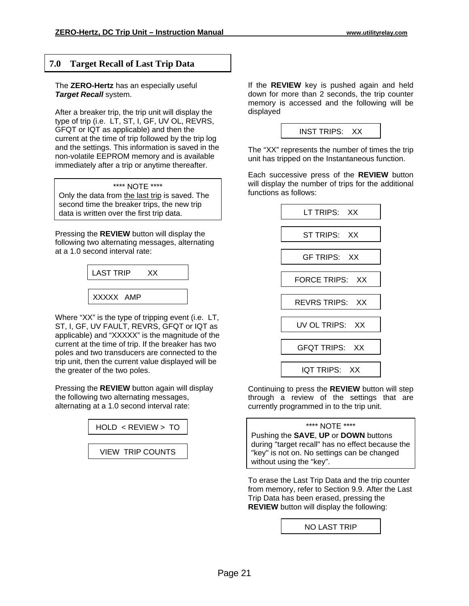#### **7.0 Target Recall of Last Trip Data**

The **ZERO-Hertz** has an especially useful *Target Recall* system.

After a breaker trip, the trip unit will display the type of trip (i.e. LT, ST, I, GF, UV OL, REVRS, GFQT or IQT as applicable) and then the current at the time of trip followed by the trip log and the settings. This information is saved in the non-volatile EEPROM memory and is available immediately after a trip or anytime thereafter.

|  | **** NOTE **** |  |
|--|----------------|--|
|--|----------------|--|

Only the data from the last trip is saved. The second time the breaker trips, the new trip data is written over the first trip data.

Pressing the **REVIEW** button will display the following two alternating messages, alternating at a 1.0 second interval rate:



Where "XX" is the type of tripping event (i.e. LT, ST, I, GF, UV FAULT, REVRS, GFQT or IQT as applicable) and "XXXXX" is the magnitude of the current at the time of trip. If the breaker has two poles and two transducers are connected to the trip unit, then the current value displayed will be the greater of the two poles.

Pressing the **REVIEW** button again will display the following two alternating messages, alternating at a 1.0 second interval rate:



VIEW TRIP COUNTS

If the **REVIEW** key is pushed again and held down for more than 2 seconds, the trip counter memory is accessed and the following will be displayed

| <b>INST TRIPS:</b> | ХX |
|--------------------|----|
|                    |    |

The "XX" represents the number of times the trip unit has tripped on the Instantaneous function.

Each successive press of the **REVIEW** button will display the number of trips for the additional functions as follows:



Continuing to press the **REVIEW** button will step through a review of the settings that are currently programmed in to the trip unit.

#### \*\*\*\* NOTE \*\*\*\*

Pushing the **SAVE**, **UP** or **DOWN** buttons during "target recall" has no effect because the "key" is not on. No settings can be changed without using the "key".

To erase the Last Trip Data and the trip counter from memory, refer to Section 9.9. After the Last Trip Data has been erased, pressing the **REVIEW** button will display the following:

NO LAST TRIP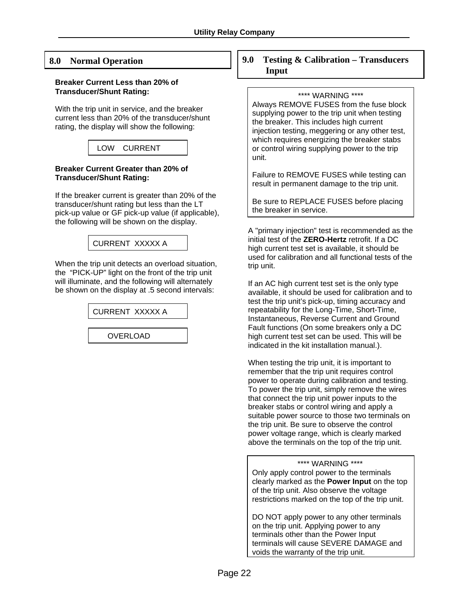#### **8.0 Normal Operation**

#### **Breaker Current Less than 20% of Transducer/Shunt Rating:**

With the trip unit in service, and the breaker current less than 20% of the transducer/shunt rating, the display will show the following:

## LOW CURRENT

#### **Breaker Current Greater than 20% of Transducer/Shunt Rating:**

If the breaker current is greater than 20% of the transducer/shunt rating but less than the LT pick-up value or GF pick-up value (if applicable), the following will be shown on the display.

## CURRENT XXXXX A

When the trip unit detects an overload situation, the "PICK-UP" light on the front of the trip unit will illuminate, and the following will alternately be shown on the display at .5 second intervals:

CURRENT XXXXX A

OVERLOAD

#### **9.0 Testing & Calibration – Transducers Input**

#### \*\*\*\* WARNING \*\*\*\*

Always REMOVE FUSES from the fuse block supplying power to the trip unit when testing the breaker. This includes high current injection testing, meggering or any other test, which requires energizing the breaker stabs or control wiring supplying power to the trip unit.

Failure to REMOVE FUSES while testing can result in permanent damage to the trip unit.

Be sure to REPLACE FUSES before placing the breaker in service.

A "primary injection" test is recommended as the initial test of the **ZERO-Hertz** retrofit. If a DC high current test set is available, it should be used for calibration and all functional tests of the trip unit.

If an AC high current test set is the only type available, it should be used for calibration and to test the trip unit's pick-up, timing accuracy and repeatability for the Long-Time, Short-Time, Instantaneous, Reverse Current and Ground Fault functions (On some breakers only a DC high current test set can be used. This will be indicated in the kit installation manual.).

When testing the trip unit, it is important to remember that the trip unit requires control power to operate during calibration and testing. To power the trip unit, simply remove the wires that connect the trip unit power inputs to the breaker stabs or control wiring and apply a suitable power source to those two terminals on the trip unit. Be sure to observe the control power voltage range, which is clearly marked above the terminals on the top of the trip unit.

#### \*\*\*\* WARNING \*\*\*\*

Only apply control power to the terminals clearly marked as the **Power Input** on the top of the trip unit. Also observe the voltage restrictions marked on the top of the trip unit.

DO NOT apply power to any other terminals on the trip unit. Applying power to any terminals other than the Power Input terminals will cause SEVERE DAMAGE and voids the warranty of the trip unit.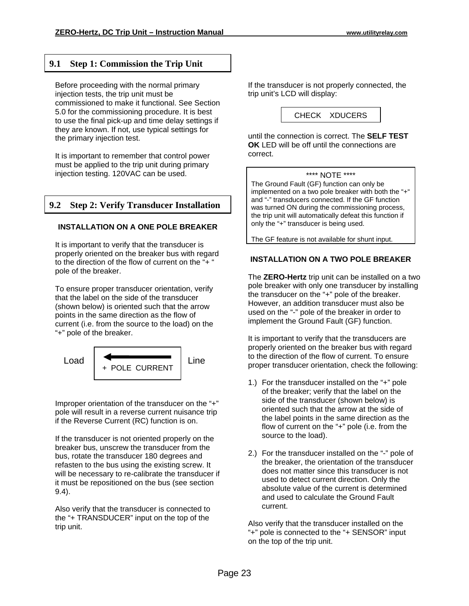## **9.1 Step 1: Commission the Trip Unit**

Before proceeding with the normal primary injection tests, the trip unit must be commissioned to make it functional. See Section 5.0 for the commissioning procedure. It is best to use the final pick-up and time delay settings if they are known. If not, use typical settings for the primary injection test.

It is important to remember that control power must be applied to the trip unit during primary injection testing. 120VAC can be used.

## **9.2 Step 2: Verify Transducer Installation**

#### **INSTALLATION ON A ONE POLE BREAKER**

It is important to verify that the transducer is properly oriented on the breaker bus with regard to the direction of the flow of current on the "+ " pole of the breaker.

To ensure proper transducer orientation, verify that the label on the side of the transducer (shown below) is oriented such that the arrow points in the same direction as the flow of current (i.e. from the source to the load) on the "+" pole of the breaker.



Improper orientation of the transducer on the "+" pole will result in a reverse current nuisance trip if the Reverse Current (RC) function is on.

If the transducer is not oriented properly on the breaker bus, unscrew the transducer from the bus, rotate the transducer 180 degrees and refasten to the bus using the existing screw. It will be necessary to re-calibrate the transducer if it must be repositioned on the bus (see section 9.4).

Also verify that the transducer is connected to the "+ TRANSDUCER" input on the top of the trip unit.

If the transducer is not properly connected, the trip unit's LCD will display:

CHECK XDUCERS

until the connection is correct. The **SELF TEST OK** LED will be off until the connections are correct.

#### \*\*\*\* NOTE \*\*\*\*

The Ground Fault (GF) function can only be implemented on a two pole breaker with both the "+" and "-" transducers connected. If the GF function was turned ON during the commissioning process, the trip unit will automatically defeat this function if only the "+" transducer is being used.

The GF feature is not available for shunt input.

#### **INSTALLATION ON A TWO POLE BREAKER**

The **ZERO-Hertz** trip unit can be installed on a two pole breaker with only one transducer by installing the transducer on the "+" pole of the breaker. However, an addition transducer must also be used on the "-" pole of the breaker in order to implement the Ground Fault (GF) function.

It is important to verify that the transducers are properly oriented on the breaker bus with regard to the direction of the flow of current. To ensure proper transducer orientation, check the following:

- 1.) For the transducer installed on the "+" pole of the breaker; verify that the label on the side of the transducer (shown below) is oriented such that the arrow at the side of the label points in the same direction as the flow of current on the "+" pole (i.e. from the source to the load).
- 2.) For the transducer installed on the "-" pole of the breaker, the orientation of the transducer does not matter since this transducer is not used to detect current direction. Only the absolute value of the current is determined and used to calculate the Ground Fault current.

Also verify that the transducer installed on the "+" pole is connected to the "+ SENSOR" input on the top of the trip unit.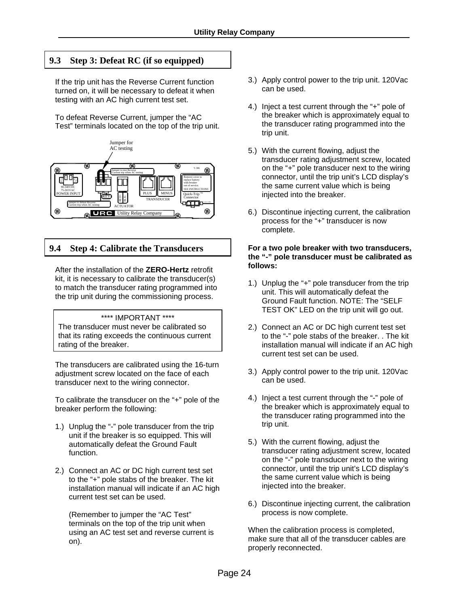## **9.3 Step 3: Defeat RC (if so equipped)**

If the trip unit has the Reverse Current function turned on, it will be necessary to defeat it when testing with an AC high current test set.

To defeat Reverse Current, jumper the "AC Test" terminals located on the top of the trip unit.



**9.4 Step 4: Calibrate the Transducers**

After the installation of the **ZERO-Hertz** retrofit kit, it is necessary to calibrate the transducer(s) to match the transducer rating programmed into the trip unit during the commissioning process.

\*\*\*\* IMPORTANT \*\*\*\* The transducer must never be calibrated so that its rating exceeds the continuous current rating of the breaker.

The transducers are calibrated using the 16-turn adjustment screw located on the face of each transducer next to the wiring connector.

To calibrate the transducer on the "+" pole of the breaker perform the following:

- 1.) Unplug the "-" pole transducer from the trip unit if the breaker is so equipped. This will automatically defeat the Ground Fault function.
- 2.) Connect an AC or DC high current test set to the "+" pole stabs of the breaker. The kit installation manual will indicate if an AC high current test set can be used.

 (Remember to jumper the "AC Test" terminals on the top of the trip unit when using an AC test set and reverse current is on).

- 3.) Apply control power to the trip unit. 120Vac can be used.
- 4.) Inject a test current through the "+" pole of the breaker which is approximately equal to the transducer rating programmed into the trip unit.
- 5.) With the current flowing, adjust the transducer rating adjustment screw, located on the "+" pole transducer next to the wiring connector, until the trip unit's LCD display's the same current value which is being injected into the breaker.
- 6.) Discontinue injecting current, the calibration process for the "+" transducer is now complete.

#### **For a two pole breaker with two transducers, the "-" pole transducer must be calibrated as follows:**

- 1.) Unplug the "+" pole transducer from the trip unit. This will automatically defeat the Ground Fault function. NOTE: The "SELF TEST OK" LED on the trip unit will go out.
- 2.) Connect an AC or DC high current test set to the "-" pole stabs of the breaker. . The kit installation manual will indicate if an AC high current test set can be used.
- 3.) Apply control power to the trip unit. 120Vac can be used.
- 4.) Inject a test current through the "-" pole of the breaker which is approximately equal to the transducer rating programmed into the trip unit.
- 5.) With the current flowing, adjust the transducer rating adjustment screw, located on the "-" pole transducer next to the wiring connector, until the trip unit's LCD display's the same current value which is being injected into the breaker.
- 6.) Discontinue injecting current, the calibration process is now complete.

When the calibration process is completed, make sure that all of the transducer cables are properly reconnected.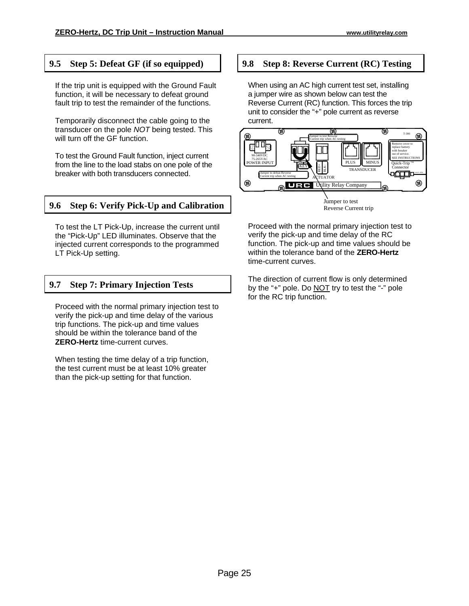## **9.5 Step 5: Defeat GF (if so equipped)**

If the trip unit is equipped with the Ground Fault function, it will be necessary to defeat ground fault trip to test the remainder of the functions.

Temporarily disconnect the cable going to the transducer on the pole *NOT* being tested. This will turn off the GF function.

To test the Ground Fault function, inject current from the line to the load stabs on one pole of the breaker with both transducers connected.

## **9.6 Step 6: Verify Pick-Up and Calibration**

To test the LT Pick-Up, increase the current until the "Pick-Up" LED illuminates. Observe that the injected current corresponds to the programmed LT Pick-Up setting.

## **9.7 Step 7: Primary Injection Tests**

Proceed with the normal primary injection test to verify the pick-up and time delay of the various trip functions. The pick-up and time values should be within the tolerance band of the **ZERO-Hertz** time-current curves.

When testing the time delay of a trip function, the test current must be at least 10% greater than the pick-up setting for that function.

## **9.8 Step 8: Reverse Current (RC) Testing**

When using an AC high current test set, installing a jumper wire as shown below can test the Reverse Current (RC) function. This forces the trip unit to consider the "+" pole current as reverse current.



Proceed with the normal primary injection test to verify the pick-up and time delay of the RC function. The pick-up and time values should be within the tolerance band of the **ZERO-Hertz** time-current curves.

The direction of current flow is only determined by the "+" pole. Do NOT try to test the "-" pole for the RC trip function.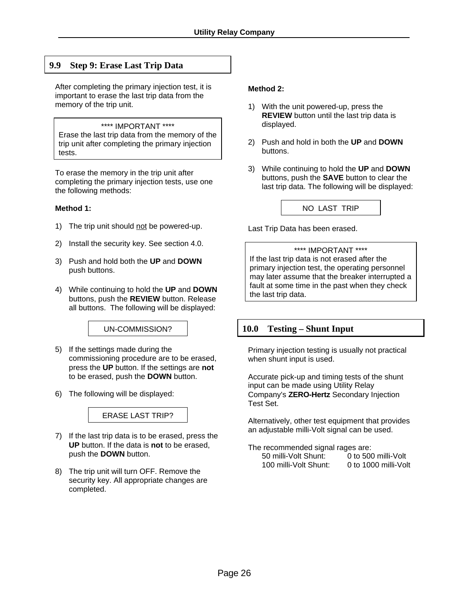## **9.9 Step 9: Erase Last Trip Data**

After completing the primary injection test, it is important to erase the last trip data from the memory of the trip unit.

#### \*\*\*\* IMPORTANT \*\*\*\*

Erase the last trip data from the memory of the trip unit after completing the primary injection tests.

To erase the memory in the trip unit after completing the primary injection tests, use one the following methods:

#### **Method 1:**

- 1) The trip unit should not be powered-up.
- 2) Install the security key. See section 4.0.
- 3) Push and hold both the **UP** and **DOWN** push buttons.
- 4) While continuing to hold the **UP** and **DOWN** buttons, push the **REVIEW** button. Release all buttons. The following will be displayed:

UN-COMMISSION?

- 5) If the settings made during the commissioning procedure are to be erased, press the **UP** button. If the settings are **not** to be erased, push the **DOWN** button.
- 6) The following will be displayed:



- 7) If the last trip data is to be erased, press the **UP** button. If the data is **not** to be erased, push the **DOWN** button.
- 8) The trip unit will turn OFF. Remove the security key. All appropriate changes are completed.

#### **Method 2:**

- 1) With the unit powered-up, press the **REVIEW** button until the last trip data is displayed.
- 2) Push and hold in both the **UP** and **DOWN** buttons.
- 3) While continuing to hold the **UP** and **DOWN** buttons, push the **SAVE** button to clear the last trip data. The following will be displayed:

NO LAST TRIP

Last Trip Data has been erased.

#### \*\*\*\* IMPORTANT \*\*\*\*

If the last trip data is not erased after the primary injection test, the operating personnel may later assume that the breaker interrupted a fault at some time in the past when they check the last trip data.

#### **10.0 Testing – Shunt Input**

Primary injection testing is usually not practical when shunt input is used.

Accurate pick-up and timing tests of the shunt input can be made using Utility Relay Company's **ZERO-Hertz** Secondary Injection Test Set.

Alternatively, other test equipment that provides an adjustable milli-Volt signal can be used.

The recommended signal rages are:

| .                     |                      |
|-----------------------|----------------------|
| 50 milli-Volt Shunt:  | 0 to 500 milli-Volt  |
| 100 milli-Volt Shunt: | 0 to 1000 milli-Volt |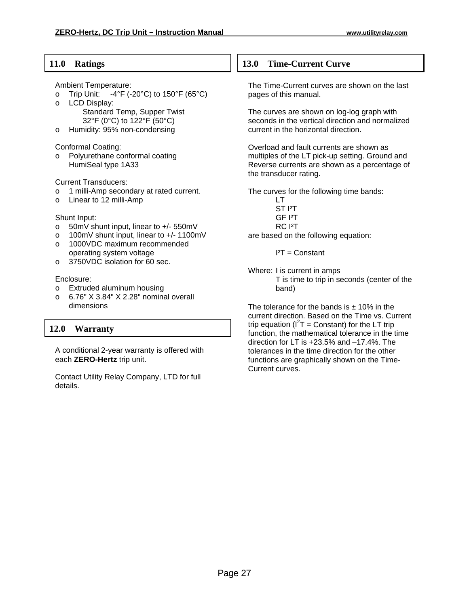## **11.0 Ratings**

Ambient Temperature:

- o Trip Unit:  $-4^{\circ}F$  (-20 $^{\circ}C$ ) to 150 $^{\circ}F$  (65 $^{\circ}C$ )
- o LCD Display: Standard Temp, Supper Twist 32°F (0°C) to 122°F (50°C)
- o Humidity: 95% non-condensing

Conformal Coating:

o Polyurethane conformal coating HumiSeal type 1A33

Current Transducers:

- o 1 milli-Amp secondary at rated current.
- o Linear to 12 milli-Amp

#### Shunt Input:

- o 50mV shunt input, linear to +/- 550mV
- o 100mV shunt input, linear to +/- 1100mV
- o 1000VDC maximum recommended operating system voltage
- o 3750VDC isolation for 60 sec.

#### Enclosure:

- o Extruded aluminum housing
- o 6.76" X 3.84" X 2.28" nominal overall dimensions

## **12.0 Warranty**

A conditional 2-year warranty is offered with each **ZERO-Hertz** trip unit.

Contact Utility Relay Company, LTD for full details.

### **13.0 Time-Current Curve**

The Time-Current curves are shown on the last pages of this manual.

The curves are shown on log-log graph with seconds in the vertical direction and normalized current in the horizontal direction.

Overload and fault currents are shown as multiples of the LT pick-up setting. Ground and Reverse currents are shown as a percentage of the transducer rating.

The curves for the following time bands:

- LT ST I²T
- GF I²T
- RC I²T

are based on the following equation:

 $I<sup>2</sup>T = Constant$ 

Where: I is current in amps T is time to trip in seconds (center of the band)

The tolerance for the bands is  $\pm$  10% in the current direction. Based on the Time vs. Current trip equation ( $I^2T =$  Constant) for the LT trip function, the mathematical tolerance in the time direction for LT is +23.5% and –17.4%. The tolerances in the time direction for the other functions are graphically shown on the Time-Current curves.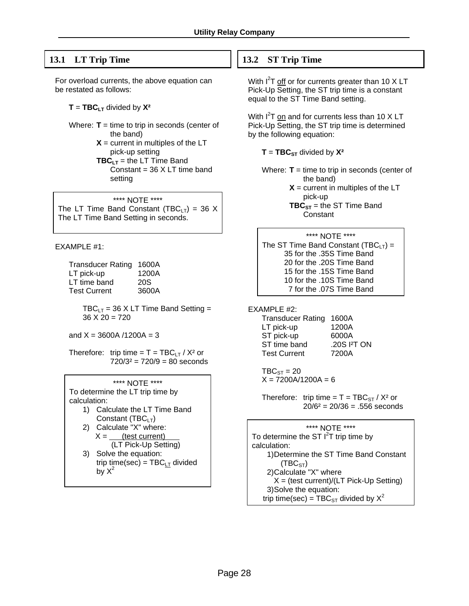## **13.1 LT Trip Time**

For overload currents, the above equation can be restated as follows:

 $T = TBC_{LT}$  divided by  $X^2$ 

- Where: **T** = time to trip in seconds (center of the band)
	- $X =$  current in multiples of the LT pick-up setting
	- **TBC** $_{LT}$  = the LT Time Band Constant = 36 X LT time band setting

#### \*\*\*\* NOTE \*\*\*\*

The LT Time Band Constant (TBC<sub>LT</sub>) = 36 X The LT Time Band Setting in seconds.

EXAMPLE #1:

| <b>Transducer Rating</b> | 1600A |
|--------------------------|-------|
| LT pick-up               | 1200A |
| LT time band             | 20S   |
| <b>Test Current</b>      | 3600A |

 $TBC_{LT} = 36$  X LT Time Band Setting =  $36 X 20 = 720$ 

and  $X = 3600A / 1200A = 3$ 

Therefore: trip time =  $T = TBC_{LT} / X^2$  or  $720/3^2 = 720/9 = 80$  seconds

\*\*\*\* NOTE \*\*\*\* To determine the LT trip time by calculation:

- 1) Calculate the LT Time Band Constant (TBC<sub>LT</sub>)
- 2) Calculate "X" where:  $X =$  (test current) (LT Pick-Up Setting)
- 3) Solve the equation: trip time(sec) =  $TBC_{LT}$  divided by  $X^2$

## **13.2 ST Trip Time**

With I<sup>2</sup>T off or for currents greater than 10 X LT Pick-Up Setting, the ST trip time is a constant equal to the ST Time Band setting.

With I<sup>2</sup>T on and for currents less than 10 X LT Pick-Up Setting, the ST trip time is determined by the following equation:

 $T = TBC_{ST}$  divided by  $X^2$ 

Where: **T** = time to trip in seconds (center of the band)

> $X =$  current in multiples of the LT pick-up

**TBC**<sub>ST</sub> = the ST Time Band **Constant** 

#### \*\*\*\* NOTE \*\*\*\*

The ST Time Band Constant (TBC $_{LT}$ ) = 35 for the .35S Time Band 20 for the .20S Time Band 15 for the .15S Time Band 10 for the .10S Time Band 7 for the .07S Time Band

EXAMPLE #2:

| 1600A                    |
|--------------------------|
| 1200A                    |
| 6000A                    |
| .20S I <sup>2</sup> T ON |
| 7200A                    |
|                          |

 $TBC<sub>ST</sub> = 20$  $X = 7200A/1200A = 6$ 

Therefore: trip time =  $T = TBC_{ST} / X^2$  or  $20/6^2 = 20/36 = .556$  seconds

\*\*\*\* NOTE \*\*\*\*

To determine the ST  $I^2$ T trip time by calculation: 1) Determine the ST Time Band Constant  $(TBC<sub>ST</sub>)$  2) Calculate "X" where  $X =$  (test current)/(LT Pick-Up Setting) 3) Solve the equation: trip time(sec) =  $TBC_{ST}$  divided by  $X^2$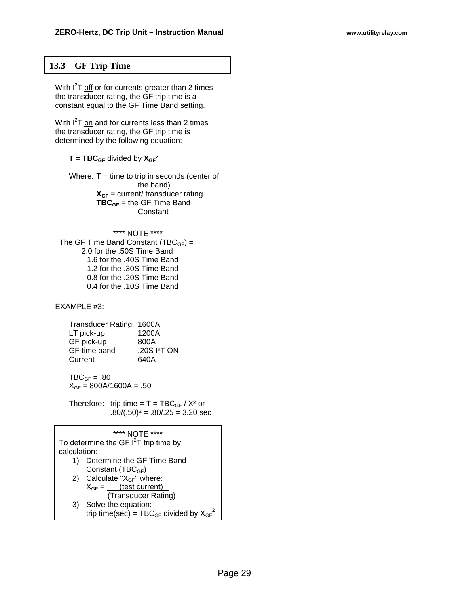## **13.3 GF Trip Time**

With  $I^2$ T off or for currents greater than 2 times the transducer rating, the GF trip time is a constant equal to the GF Time Band setting.

With I<sup>2</sup>T on and for currents less than 2 times the transducer rating, the GF trip time is determined by the following equation:

 $T = TBC_{GF}$  divided by  $X_{GF}^2$ 

 Where: **T** = time to trip in seconds (center of the band)  $X_{GF} = current /$  transducer rating **TBC<sub>GF</sub>** = the GF Time Band **Constant** 

#### \*\*\*\* NOTE \*\*\*\* The GF Time Band Constant (TBC $_{GF}$ ) = 2.0 for the .50S Time Band 1.6 for the .40S Time Band 1.2 for the .30S Time Band 0.8 for the .20S Time Band 0.4 for the .10S Time Band

EXAMPLE #3:

|            | <b>Transducer Rating</b> | 1600A                  |
|------------|--------------------------|------------------------|
| LT pick-up |                          | 1200A                  |
| GF pick-up |                          | 800A                   |
|            | GF time band             | .20S <sup>2</sup> T ON |
| Current    |                          | 640A                   |
|            |                          |                        |

 $TBC_{GF} = .80$  $X_{GF} = 800A/1600A = .50$ 

Therefore: trip time =  $T = TBC_{GF} / X^2$  or  $.80/(.50)^2 = .80/.25 = 3.20$  sec

|              | **** NOTF ****                                    |
|--------------|---------------------------------------------------|
|              | To determine the GF $I2T$ trip time by            |
| calculation: |                                                   |
| 1)           | Determine the GF Time Band                        |
|              | Constant (TBC <sub>GF</sub> )                     |
|              | 2) Calculate " $X_{GF}$ " where:                  |
|              | $X_{GF} =$ (test current)                         |
|              | (Transducer Rating)                               |
| 3)           | Solve the equation:                               |
|              | trip time(sec) = $TBC_{GF}$ divided by $X_{GF}^2$ |
|              |                                                   |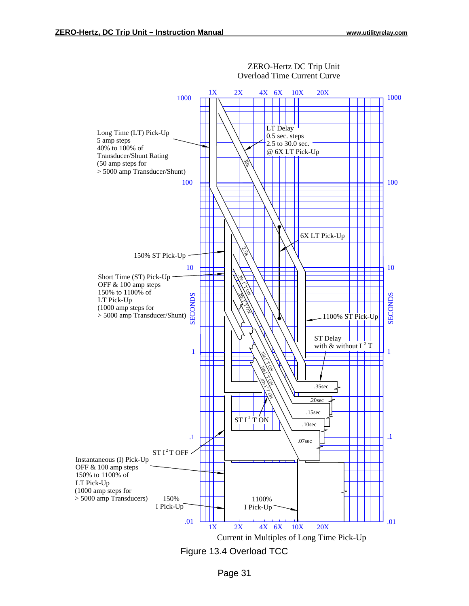

ZERO-Hertz DC Trip Unit Overload Time Current Curve

Page 31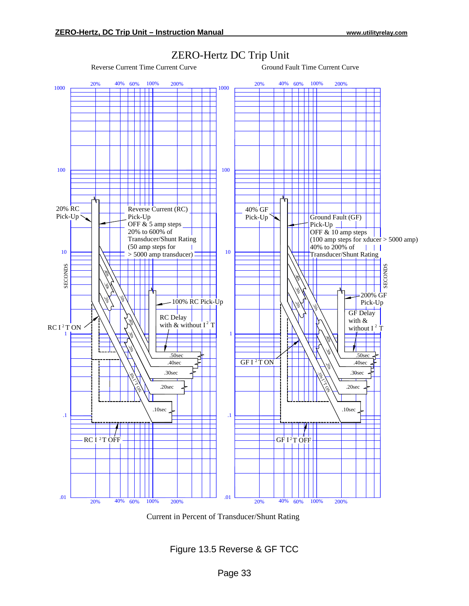

## ZERO-Hertz DC Trip Unit

Reverse Current Time Current Curve Ground Fault Time Current Curve

Current in Percent of Transducer/Shunt Rating

Figure 13.5 Reverse & GF TCC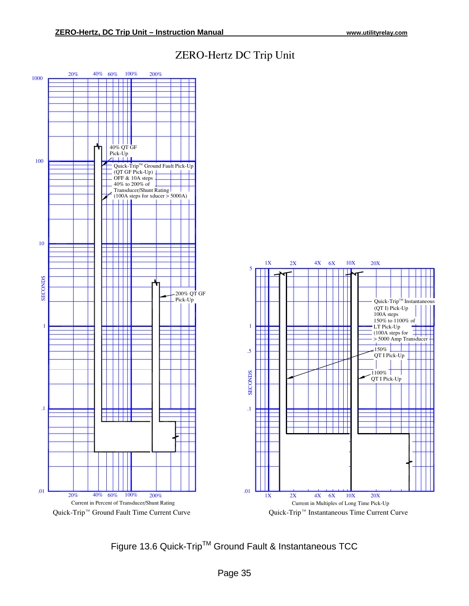

## ZERO−Hertz DC Trip Unit

Figure 13.6 Quick-Trip™ Ground Fault & Instantaneous TCC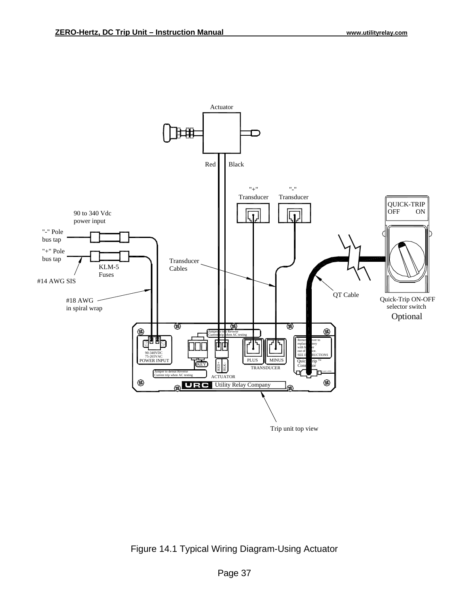

Figure 14.1 Typical Wiring Diagram-Using Actuator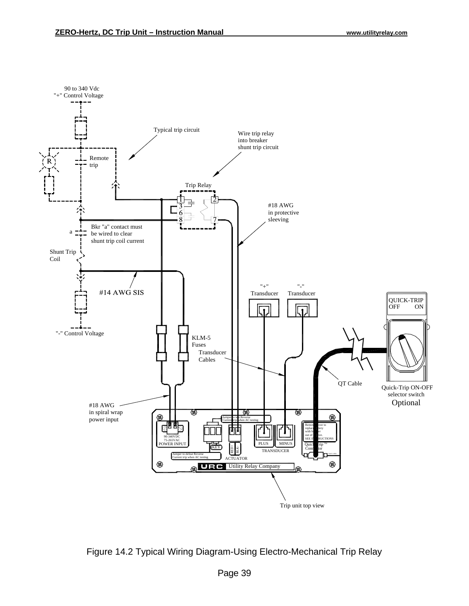

Figure 14.2 Typical Wiring Diagram-Using Electro-Mechanical Trip Relay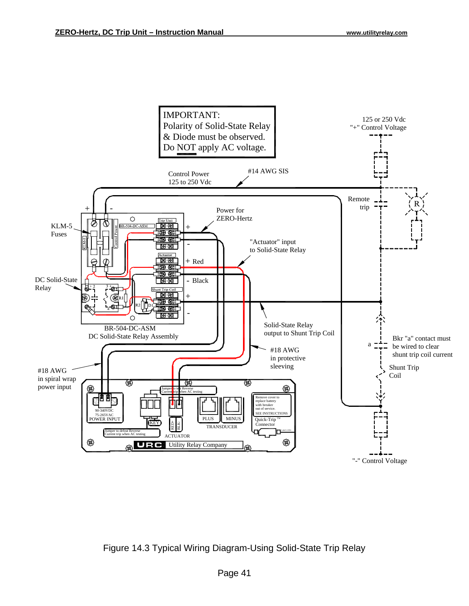

Figure 14.3 Typical Wiring Diagram-Using Solid-State Trip Relay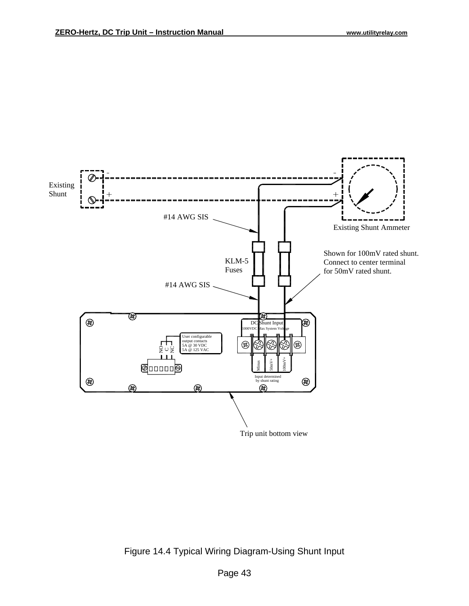

Figure 14.4 Typical Wiring Diagram-Using Shunt Input